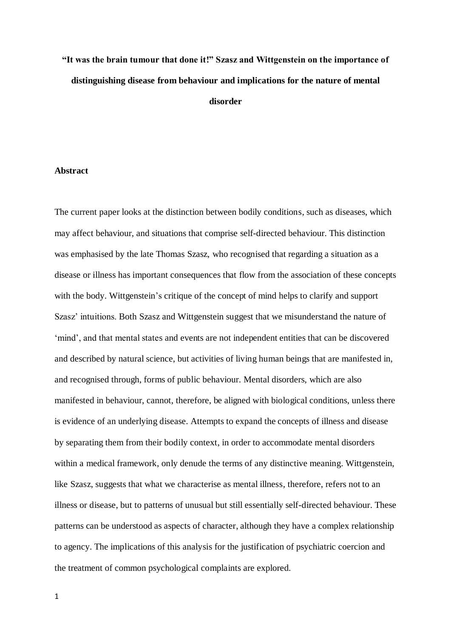# **"It was the brain tumour that done it!" Szasz and Wittgenstein on the importance of distinguishing disease from behaviour and implications for the nature of mental disorder**

# **Abstract**

The current paper looks at the distinction between bodily conditions, such as diseases, which may affect behaviour, and situations that comprise self-directed behaviour. This distinction was emphasised by the late Thomas Szasz, who recognised that regarding a situation as a disease or illness has important consequences that flow from the association of these concepts with the body. Wittgenstein's critique of the concept of mind helps to clarify and support Szasz' intuitions. Both Szasz and Wittgenstein suggest that we misunderstand the nature of 'mind', and that mental states and events are not independent entities that can be discovered and described by natural science, but activities of living human beings that are manifested in, and recognised through, forms of public behaviour. Mental disorders, which are also manifested in behaviour, cannot, therefore, be aligned with biological conditions, unless there is evidence of an underlying disease. Attempts to expand the concepts of illness and disease by separating them from their bodily context, in order to accommodate mental disorders within a medical framework, only denude the terms of any distinctive meaning. Wittgenstein, like Szasz, suggests that what we characterise as mental illness, therefore, refers not to an illness or disease, but to patterns of unusual but still essentially self-directed behaviour. These patterns can be understood as aspects of character, although they have a complex relationship to agency. The implications of this analysis for the justification of psychiatric coercion and the treatment of common psychological complaints are explored.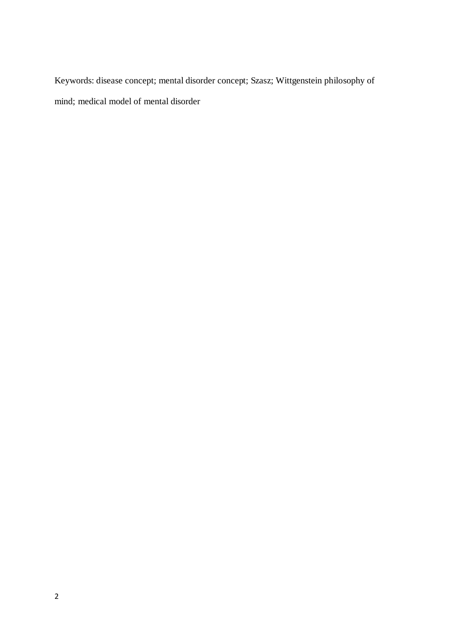Keywords: disease concept; mental disorder concept; Szasz; Wittgenstein philosophy of mind; medical model of mental disorder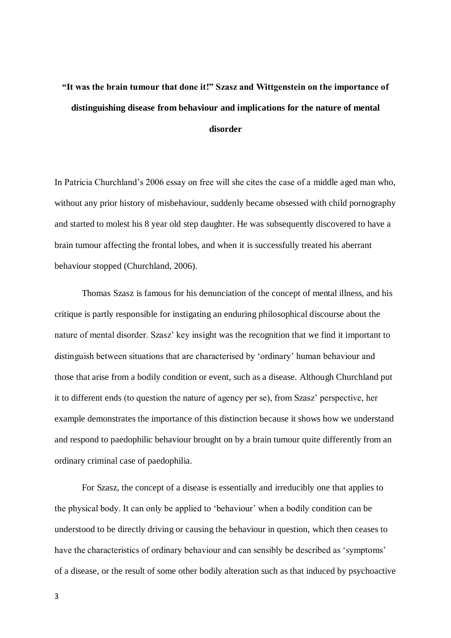# **"It was the brain tumour that done it!" Szasz and Wittgenstein on the importance of distinguishing disease from behaviour and implications for the nature of mental disorder**

In Patricia Churchland's 2006 essay on free will she cites the case of a middle aged man who, without any prior history of misbehaviour, suddenly became obsessed with child pornography and started to molest his 8 year old step daughter. He was subsequently discovered to have a brain tumour affecting the frontal lobes, and when it is successfully treated his aberrant behaviour stopped (Churchland, 2006).

Thomas Szasz is famous for his denunciation of the concept of mental illness, and his critique is partly responsible for instigating an enduring philosophical discourse about the nature of mental disorder. Szasz' key insight was the recognition that we find it important to distinguish between situations that are characterised by 'ordinary' human behaviour and those that arise from a bodily condition or event, such as a disease. Although Churchland put it to different ends (to question the nature of agency per se), from Szasz' perspective, her example demonstrates the importance of this distinction because it shows how we understand and respond to paedophilic behaviour brought on by a brain tumour quite differently from an ordinary criminal case of paedophilia.

For Szasz, the concept of a disease is essentially and irreducibly one that applies to the physical body. It can only be applied to 'behaviour' when a bodily condition can be understood to be directly driving or causing the behaviour in question, which then ceases to have the characteristics of ordinary behaviour and can sensibly be described as 'symptoms' of a disease, or the result of some other bodily alteration such as that induced by psychoactive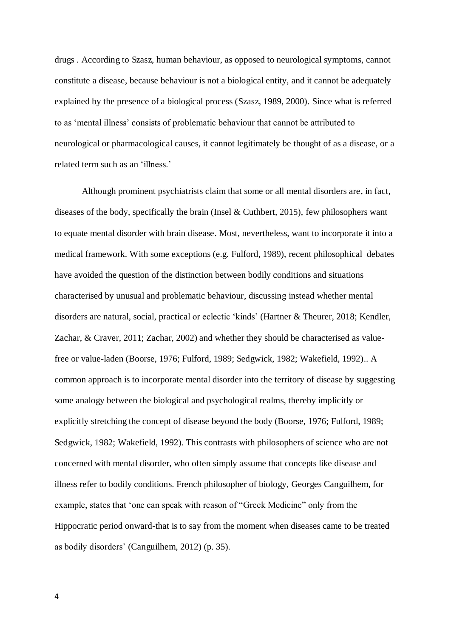drugs . According to Szasz, human behaviour, as opposed to neurological symptoms, cannot constitute a disease, because behaviour is not a biological entity, and it cannot be adequately explained by the presence of a biological process (Szasz, 1989, 2000). Since what is referred to as 'mental illness' consists of problematic behaviour that cannot be attributed to neurological or pharmacological causes, it cannot legitimately be thought of as a disease, or a related term such as an 'illness.'

Although prominent psychiatrists claim that some or all mental disorders are, in fact, diseases of the body, specifically the brain (Insel & Cuthbert, 2015), few philosophers want to equate mental disorder with brain disease. Most, nevertheless, want to incorporate it into a medical framework. With some exceptions (e.g. Fulford, 1989), recent philosophical debates have avoided the question of the distinction between bodily conditions and situations characterised by unusual and problematic behaviour, discussing instead whether mental disorders are natural, social, practical or eclectic 'kinds' (Hartner & Theurer, 2018; Kendler, Zachar, & Craver, 2011; Zachar, 2002) and whether they should be characterised as valuefree or value-laden (Boorse, 1976; Fulford, 1989; Sedgwick, 1982; Wakefield, 1992).. A common approach is to incorporate mental disorder into the territory of disease by suggesting some analogy between the biological and psychological realms, thereby implicitly or explicitly stretching the concept of disease beyond the body (Boorse, 1976; Fulford, 1989; Sedgwick, 1982; Wakefield, 1992). This contrasts with philosophers of science who are not concerned with mental disorder, who often simply assume that concepts like disease and illness refer to bodily conditions. French philosopher of biology, [Georges Canguilhem,](https://en.wikipedia.org/wiki/Georges_Canguilhem) for example, states that 'one can speak with reason of "Greek Medicine" only from the Hippocratic period onward-that is to say from the moment when diseases came to be treated as bodily disorders' (Canguilhem, 2012) (p. 35).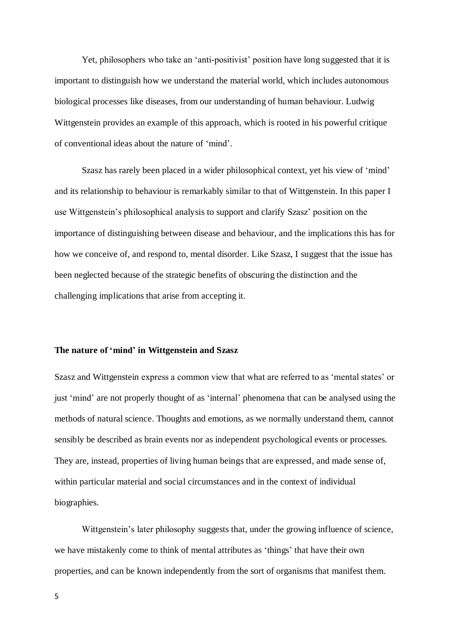Yet, philosophers who take an 'anti-positivist' position have long suggested that it is important to distinguish how we understand the material world, which includes autonomous biological processes like diseases, from our understanding of human behaviour. Ludwig Wittgenstein provides an example of this approach, which is rooted in his powerful critique of conventional ideas about the nature of 'mind'.

Szasz has rarely been placed in a wider philosophical context, yet his view of 'mind' and its relationship to behaviour is remarkably similar to that of Wittgenstein. In this paper I use Wittgenstein's philosophical analysis to support and clarify Szasz' position on the importance of distinguishing between disease and behaviour, and the implications this has for how we conceive of, and respond to, mental disorder. Like Szasz, I suggest that the issue has been neglected because of the strategic benefits of obscuring the distinction and the challenging implications that arise from accepting it.

## **The nature of 'mind' in Wittgenstein and Szasz**

Szasz and Wittgenstein express a common view that what are referred to as 'mental states' or just 'mind' are not properly thought of as 'internal' phenomena that can be analysed using the methods of natural science. Thoughts and emotions, as we normally understand them, cannot sensibly be described as brain events nor as independent psychological events or processes. They are, instead, properties of living human beings that are expressed, and made sense of, within particular material and social circumstances and in the context of individual biographies.

Wittgenstein's later philosophy suggests that, under the growing influence of science, we have mistakenly come to think of mental attributes as 'things' that have their own properties, and can be known independently from the sort of organisms that manifest them.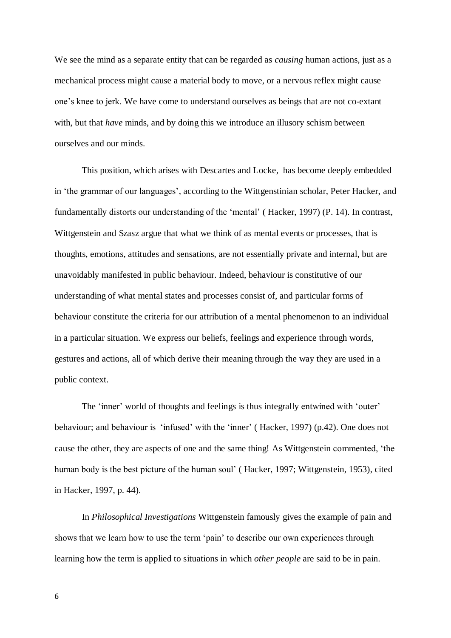We see the mind as a separate entity that can be regarded as *causing* human actions, just as a mechanical process might cause a material body to move, or a nervous reflex might cause one's knee to jerk. We have come to understand ourselves as beings that are not co-extant with, but that *have* minds, and by doing this we introduce an illusory schism between ourselves and our minds.

This position, which arises with Descartes and Locke, has become deeply embedded in 'the grammar of our languages', according to the Wittgenstinian scholar, Peter Hacker, and fundamentally distorts our understanding of the 'mental' ( Hacker, 1997) (P. 14). In contrast, Wittgenstein and Szasz argue that what we think of as mental events or processes, that is thoughts, emotions, attitudes and sensations, are not essentially private and internal, but are unavoidably manifested in public behaviour. Indeed, behaviour is constitutive of our understanding of what mental states and processes consist of, and particular forms of behaviour constitute the criteria for our attribution of a mental phenomenon to an individual in a particular situation. We express our beliefs, feelings and experience through words, gestures and actions, all of which derive their meaning through the way they are used in a public context.

The 'inner' world of thoughts and feelings is thus integrally entwined with 'outer' behaviour; and behaviour is 'infused' with the 'inner' ( Hacker, 1997) (p.42). One does not cause the other, they are aspects of one and the same thing! As Wittgenstein commented, 'the human body is the best picture of the human soul' ( Hacker, 1997; Wittgenstein, 1953), cited in Hacker, 1997, p. 44).

In *[Philosophical Investigations](https://en.wikipedia.org/wiki/Philosophical_Investigations)* [Wittgenstein](https://en.wikipedia.org/wiki/Ludwig_Wittgenstein) famously gives the example of pain and shows that we learn how to use the term 'pain' to describe our own experiences through learning how the term is applied to situations in which *other people* are said to be in pain.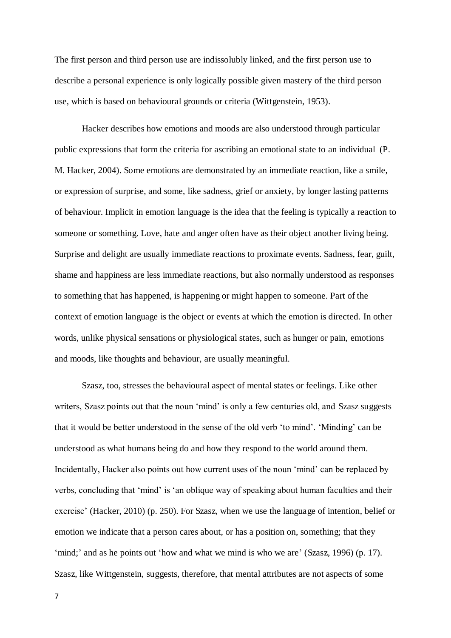The first person and third person use are indissolubly linked, and the first person use to describe a personal experience is only logically possible given mastery of the third person use, which is based on behavioural grounds or criteria (Wittgenstein, 1953).

Hacker describes how emotions and moods are also understood through particular public expressions that form the criteria for ascribing an emotional state to an individual (P. M. Hacker, 2004). Some emotions are demonstrated by an immediate reaction, like a smile, or expression of surprise, and some, like sadness, grief or anxiety, by longer lasting patterns of behaviour. Implicit in emotion language is the idea that the feeling is typically a reaction to someone or something. Love, hate and anger often have as their object another living being. Surprise and delight are usually immediate reactions to proximate events. Sadness, fear, guilt, shame and happiness are less immediate reactions, but also normally understood as responses to something that has happened, is happening or might happen to someone. Part of the context of emotion language is the object or events at which the emotion is directed. In other words, unlike physical sensations or physiological states, such as hunger or pain, emotions and moods, like thoughts and behaviour, are usually meaningful.

Szasz, too, stresses the behavioural aspect of mental states or feelings. Like other writers, Szasz points out that the noun 'mind' is only a few centuries old, and Szasz suggests that it would be better understood in the sense of the old verb 'to mind'. 'Minding' can be understood as what humans being do and how they respond to the world around them. Incidentally, Hacker also points out how current uses of the noun 'mind' can be replaced by verbs, concluding that 'mind' is 'an oblique way of speaking about human faculties and their exercise' (Hacker, 2010) (p. 250). For Szasz, when we use the language of intention, belief or emotion we indicate that a person cares about, or has a position on, something; that they 'mind;' and as he points out 'how and what we mind is who we are' (Szasz, 1996) (p. 17). Szasz, like Wittgenstein, suggests, therefore, that mental attributes are not aspects of some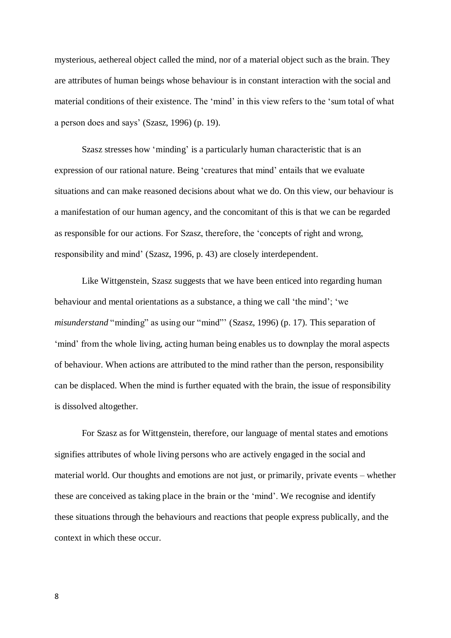mysterious, aethereal object called the mind, nor of a material object such as the brain. They are attributes of human beings whose behaviour is in constant interaction with the social and material conditions of their existence. The 'mind' in this view refers to the 'sum total of what a person does and says' (Szasz, 1996) (p. 19).

Szasz stresses how 'minding' is a particularly human characteristic that is an expression of our rational nature. Being 'creatures that mind' entails that we evaluate situations and can make reasoned decisions about what we do. On this view, our behaviour is a manifestation of our human agency, and the concomitant of this is that we can be regarded as responsible for our actions. For Szasz, therefore, the 'concepts of right and wrong, responsibility and mind' (Szasz, 1996, p. 43) are closely interdependent.

Like Wittgenstein, Szasz suggests that we have been enticed into regarding human behaviour and mental orientations as a substance, a thing we call 'the mind'; 'we *misunderstand* "minding" as using our "mind"' (Szasz, 1996) (p. 17). This separation of 'mind' from the whole living, acting human being enables us to downplay the moral aspects of behaviour. When actions are attributed to the mind rather than the person, responsibility can be displaced. When the mind is further equated with the brain, the issue of responsibility is dissolved altogether.

For Szasz as for Wittgenstein, therefore, our language of mental states and emotions signifies attributes of whole living persons who are actively engaged in the social and material world. Our thoughts and emotions are not just, or primarily, private events – whether these are conceived as taking place in the brain or the 'mind'. We recognise and identify these situations through the behaviours and reactions that people express publically, and the context in which these occur.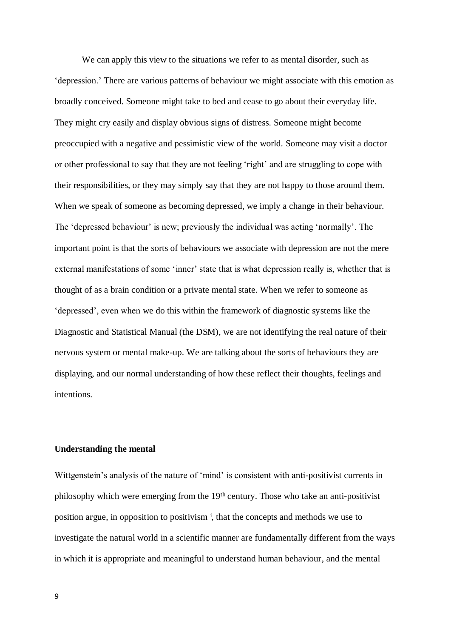We can apply this view to the situations we refer to as mental disorder, such as 'depression.' There are various patterns of behaviour we might associate with this emotion as broadly conceived. Someone might take to bed and cease to go about their everyday life. They might cry easily and display obvious signs of distress. Someone might become preoccupied with a negative and pessimistic view of the world. Someone may visit a doctor or other professional to say that they are not feeling 'right' and are struggling to cope with their responsibilities, or they may simply say that they are not happy to those around them. When we speak of someone as becoming depressed, we imply a change in their behaviour. The 'depressed behaviour' is new; previously the individual was acting 'normally'. The important point is that the sorts of behaviours we associate with depression are not the mere external manifestations of some 'inner' state that is what depression really is, whether that is thought of as a brain condition or a private mental state. When we refer to someone as 'depressed', even when we do this within the framework of diagnostic systems like the [Diagnostic and Statistical Manual \(the DSM\),](https://en.wikipedia.org/wiki/Diagnostic_and_Statistical_Manual_of_Mental_Disorders) we are not identifying the real nature of their nervous system or mental make-up. We are talking about the sorts of behaviours they are displaying, and our normal understanding of how these reflect their thoughts, feelings and intentions.

## **Understanding the mental**

Wittgenstein's analysis of the nature of 'mind' is consistent with anti-positivist currents in philosophy which were emerging from the 19th century. Those who take an anti-positivist position argue, in opposition to positivism<sup>i</sup>, that the concepts and methods we use to investigate the natural world in a scientific manner are fundamentally different from the ways in which it is appropriate and meaningful to understand human behaviour, and the mental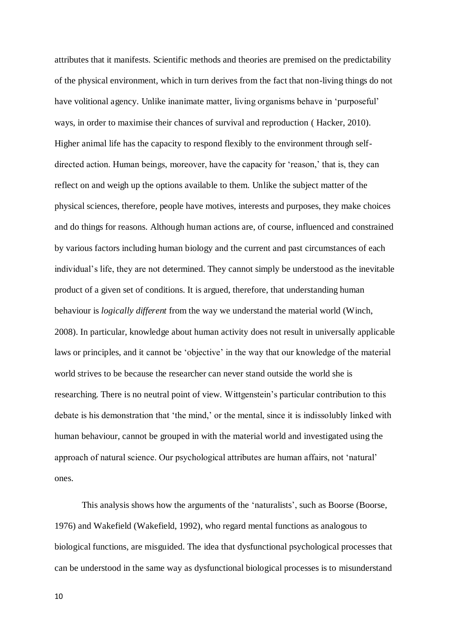attributes that it manifests. Scientific methods and theories are premised on the predictability of the physical environment, which in turn derives from the fact that non-living things do not have volitional agency. Unlike inanimate matter, living organisms behave in 'purposeful' ways, in order to maximise their chances of survival and reproduction ( Hacker, 2010). Higher animal life has the capacity to respond flexibly to the environment through selfdirected action. Human beings, moreover, have the capacity for 'reason,' that is, they can reflect on and weigh up the options available to them. Unlike the subject matter of the physical sciences, therefore, people have motives, interests and purposes, they make choices and do things for reasons. Although human actions are, of course, influenced and constrained by various factors including human biology and the current and past circumstances of each individual's life, they are not determined. They cannot simply be understood as the inevitable product of a given set of conditions. It is argued, therefore, that understanding human behaviour is *logically different* from the way we understand the material world (Winch, 2008). In particular, knowledge about human activity does not result in universally applicable laws or principles, and it cannot be 'objective' in the way that our knowledge of the material world strives to be because the researcher can never stand outside the world she is researching. There is no neutral point of view. Wittgenstein's particular contribution to this debate is his demonstration that 'the mind,' or the mental, since it is indissolubly linked with human behaviour, cannot be grouped in with the material world and investigated using the approach of natural science. Our psychological attributes are human affairs, not 'natural' ones.

This analysis shows how the arguments of the 'naturalists', such as Boorse (Boorse, 1976) and Wakefield (Wakefield, 1992), who regard mental functions as analogous to biological functions, are misguided. The idea that dysfunctional psychological processes that can be understood in the same way as dysfunctional biological processes is to misunderstand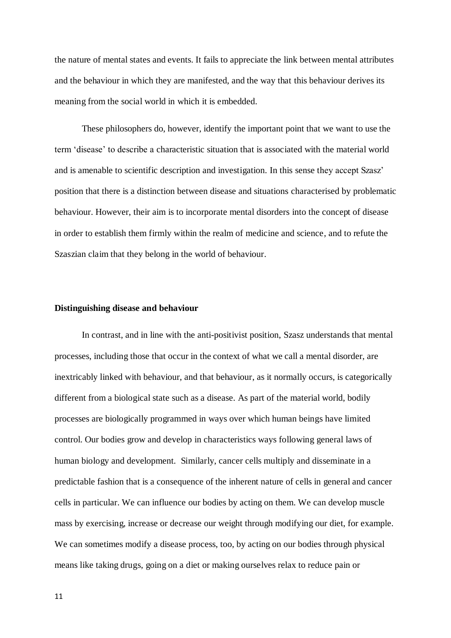the nature of mental states and events. It fails to appreciate the link between mental attributes and the behaviour in which they are manifested, and the way that this behaviour derives its meaning from the social world in which it is embedded.

These philosophers do, however, identify the important point that we want to use the term 'disease' to describe a characteristic situation that is associated with the material world and is amenable to scientific description and investigation. In this sense they accept Szasz' position that there is a distinction between disease and situations characterised by problematic behaviour. However, their aim is to incorporate mental disorders into the concept of disease in order to establish them firmly within the realm of medicine and science, and to refute the Szaszian claim that they belong in the world of behaviour.

# **Distinguishing disease and behaviour**

In contrast, and in line with the anti-positivist position, Szasz understands that mental processes, including those that occur in the context of what we call a mental disorder, are inextricably linked with behaviour, and that behaviour, as it normally occurs, is categorically different from a biological state such as a disease. As part of the material world, bodily processes are biologically programmed in ways over which human beings have limited control. Our bodies grow and develop in characteristics ways following general laws of human biology and development. Similarly, cancer cells multiply and disseminate in a predictable fashion that is a consequence of the inherent nature of cells in general and cancer cells in particular. We can influence our bodies by acting on them. We can develop muscle mass by exercising, increase or decrease our weight through modifying our diet, for example. We can sometimes modify a disease process, too, by acting on our bodies through physical means like taking drugs, going on a diet or making ourselves relax to reduce pain or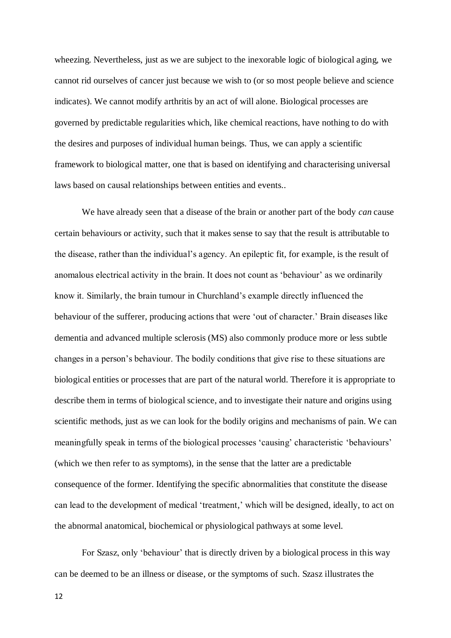wheezing. Nevertheless, just as we are subject to the inexorable logic of biological aging, we cannot rid ourselves of cancer just because we wish to (or so most people believe and science indicates). We cannot modify arthritis by an act of will alone. Biological processes are governed by predictable regularities which, like chemical reactions, have nothing to do with the desires and purposes of individual human beings. Thus, we can apply a scientific framework to biological matter, one that is based on identifying and characterising universal laws based on causal relationships between entities and events..

We have already seen that a disease of the brain or another part of the body *can* cause certain behaviours or activity, such that it makes sense to say that the result is attributable to the disease, rather than the individual's agency. An epileptic fit, for example, is the result of anomalous electrical activity in the brain. It does not count as 'behaviour' as we ordinarily know it. Similarly, the brain tumour in Churchland's example directly influenced the behaviour of the sufferer, producing actions that were 'out of character.' Brain diseases like dementia and advanced multiple sclerosis (MS) also commonly produce more or less subtle changes in a person's behaviour. The bodily conditions that give rise to these situations are biological entities or processes that are part of the natural world. Therefore it is appropriate to describe them in terms of biological science, and to investigate their nature and origins using scientific methods, just as we can look for the bodily origins and mechanisms of pain. We can meaningfully speak in terms of the biological processes 'causing' characteristic 'behaviours' (which we then refer to as symptoms), in the sense that the latter are a predictable consequence of the former. Identifying the specific abnormalities that constitute the disease can lead to the development of medical 'treatment,' which will be designed, ideally, to act on the abnormal anatomical, biochemical or physiological pathways at some level.

For Szasz, only 'behaviour' that is directly driven by a biological process in this way can be deemed to be an illness or disease, or the symptoms of such. Szasz illustrates the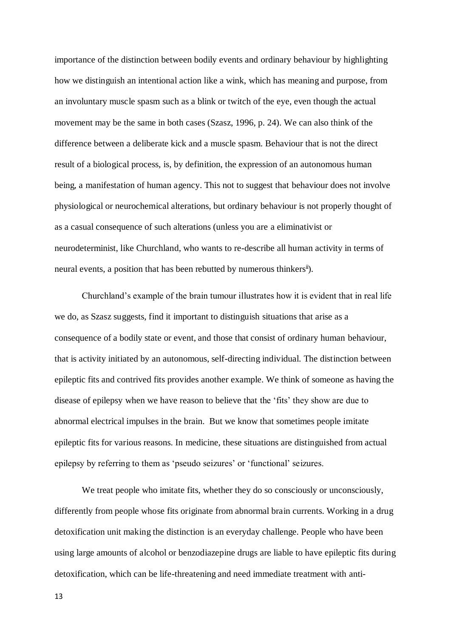importance of the distinction between bodily events and ordinary behaviour by highlighting how we distinguish an intentional action like a wink, which has meaning and purpose, from an involuntary muscle spasm such as a blink or twitch of the eye, even though the actual movement may be the same in both cases (Szasz, 1996, p. 24). We can also think of the difference between a deliberate kick and a muscle spasm. Behaviour that is not the direct result of a biological process, is, by definition, the expression of an autonomous human being, a manifestation of human agency. This not to suggest that behaviour does not involve physiological or neurochemical alterations, but ordinary behaviour is not properly thought of as a casual consequence of such alterations (unless you are a eliminativist or neurodeterminist, like Churchland, who wants to re-describe all human activity in terms of neural events, a position that has been rebutted by numerous thinkers<sup>ii</sup>).

Churchland's example of the brain tumour illustrates how it is evident that in real life we do, as Szasz suggests, find it important to distinguish situations that arise as a consequence of a bodily state or event, and those that consist of ordinary human behaviour, that is activity initiated by an autonomous, self-directing individual. The distinction between epileptic fits and contrived fits provides another example. We think of someone as having the disease of epilepsy when we have reason to believe that the 'fits' they show are due to abnormal electrical impulses in the brain. But we know that sometimes people imitate epileptic fits for various reasons. In medicine, these situations are distinguished from actual epilepsy by referring to them as 'pseudo seizures' or 'functional' seizures.

We treat people who imitate fits, whether they do so consciously or unconsciously, differently from people whose fits originate from abnormal brain currents. Working in a drug detoxification unit making the distinction is an everyday challenge. People who have been using large amounts of [alcohol](https://en.wikipedia.org/wiki/Alcohol) or [benzodiazepine drugs](https://en.wikipedia.org/wiki/Benzodiazepine) are liable to have [epileptic fits](https://en.wikipedia.org/wiki/Epileptic_seizure) during detoxification, which can be life-threatening and need immediate treatment with [anti-](https://en.wikipedia.org/wiki/Anticonvulsant)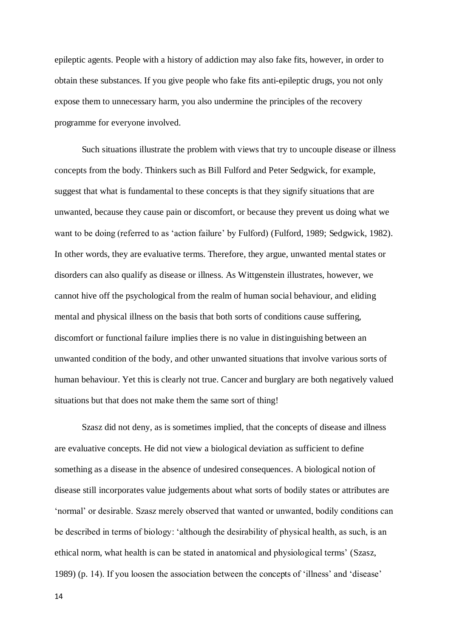[epileptic agents.](https://en.wikipedia.org/wiki/Anticonvulsant) People with a history of addiction may also fake fits, however, in order to obtain these substances. If you give people who fake fits [anti-epileptic drugs,](https://en.wikipedia.org/wiki/Anticonvulsant) you not only expose them to unnecessary harm, you also undermine the principles of the recovery programme for everyone involved.

Such situations illustrate the problem with views that try to uncouple disease or illness concepts from the body. Thinkers such as Bill Fulford and Peter Sedgwick, for example, suggest that what is fundamental to these concepts is that they signify situations that are unwanted, because they cause pain or discomfort, or because they prevent us doing what we want to be doing (referred to as 'action failure' by Fulford) (Fulford, 1989; Sedgwick, 1982). In other words, they are evaluative terms. Therefore, they argue, unwanted mental states or disorders can also qualify as disease or illness. As Wittgenstein illustrates, however, we cannot hive off the psychological from the realm of human social behaviour, and eliding mental and physical illness on the basis that both sorts of conditions cause suffering, discomfort or functional failure implies there is no value in distinguishing between an unwanted condition of the body, and other unwanted situations that involve various sorts of human behaviour. Yet this is clearly not true. Cancer and burglary are both negatively valued situations but that does not make them the same sort of thing!

[Szasz](https://en.wikipedia.org/wiki/Thomas_Szasz) did not deny, as is sometimes implied, that the concepts of disease and illness are evaluative concepts. He did not view a biological deviation as sufficient to define something as a disease in the absence of undesired consequences. A biological notion of disease still incorporates value judgements about what sorts of bodily states or attributes are 'normal' or desirable. Szasz merely observed that wanted or unwanted, bodily conditions can be described in terms of biology: 'although the desirability of physical health, as such, is an ethical norm, what health is can be stated in anatomical and physiological terms' (Szasz, 1989) (p. 14). If you loosen the association between the concepts of 'illness' and 'disease'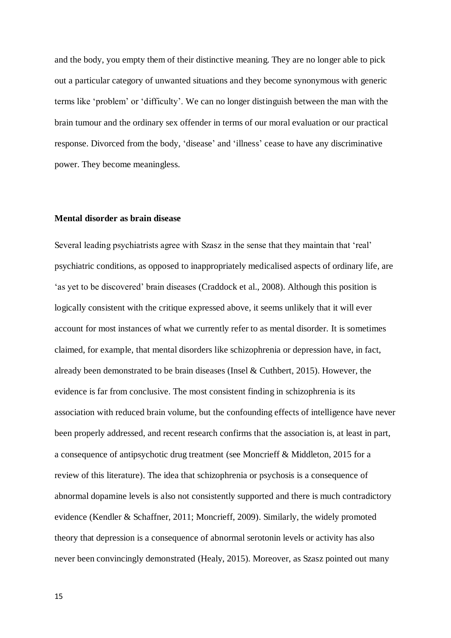and the body, you empty them of their distinctive meaning. They are no longer able to pick out a particular category of unwanted situations and they become synonymous with generic terms like 'problem' or 'difficulty'. We can no longer distinguish between the man with the brain tumour and the ordinary sex offender in terms of our moral evaluation or our practical response. Divorced from the body, 'disease' and 'illness' cease to have any discriminative power. They become meaningless.

#### **Mental disorder as brain disease**

Several leading psychiatrists agree with Szasz in the sense that they maintain that 'real' psychiatric conditions, as opposed to inappropriately medicalised aspects of ordinary life, are 'as yet to be discovered' brain diseases (Craddock et al., 2008). Although this position is logically consistent with the critique expressed above, it seems unlikely that it will ever account for most instances of what we currently refer to as mental disorder. It is sometimes claimed, for example, that mental disorders like schizophrenia or depression have, in fact, already been demonstrated to be brain diseases (Insel & Cuthbert, 2015). However, the evidence is far from conclusive. The most consistent finding in schizophrenia is its association with reduced brain volume, but the confounding effects of intelligence have never been properly addressed, and recent research confirms that the association is, at least in part, a consequence of antipsychotic drug treatment (see Moncrieff & Middleton, 2015 for a review of this literature). The idea that schizophrenia or psychosis is a consequence of abnormal dopamine levels is also not consistently supported and there is much contradictory evidence (Kendler & Schaffner, 2011; Moncrieff, 2009). Similarly, the widely promoted theory that depression is a consequence of abnormal serotonin levels or activity has also never been convincingly demonstrated (Healy, 2015). Moreover, as Szasz pointed out many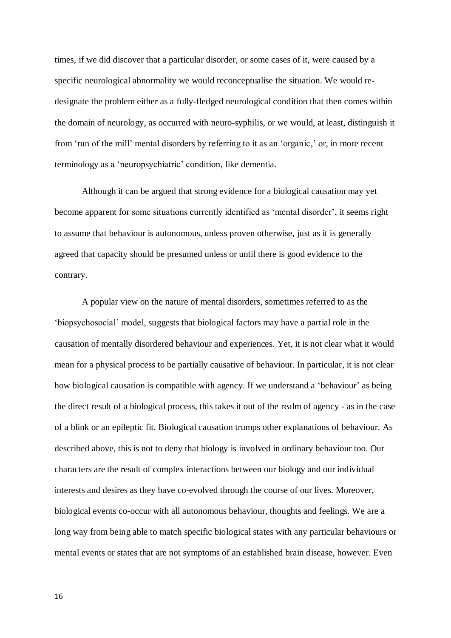times, if we did discover that a particular disorder, or some cases of it, were caused by a specific neurological abnormality we would reconceptualise the situation. We would redesignate the problem either as a fully-fledged neurological condition that then comes within the domain of neurology, as occurred with neuro-syphilis, or we would, at least, distinguish it from 'run of the mill' mental disorders by referring to it as an 'organic,' or, in more recent terminology as a 'neuropsychiatric' condition, like dementia.

Although it can be argued that strong evidence for a biological causation may yet become apparent for some situations currently identified as 'mental disorder', it seems right to assume that behaviour is autonomous, unless proven otherwise, just as it is generally agreed that capacity should be presumed unless or until there is good evidence to the contrary.

A popular view on the nature of mental disorders, sometimes referred to as the 'biopsychosocial' model, suggests that biological factors may have a partial role in the causation of mentally disordered behaviour and experiences. Yet, it is not clear what it would mean for a physical process to be partially causative of behaviour. In particular, it is not clear how biological causation is compatible with agency. If we understand a 'behaviour' as being the direct result of a biological process, this takes it out of the realm of agency - as in the case of a blink or an epileptic fit. Biological causation trumps other explanations of behaviour. As described above, this is not to deny that biology is involved in ordinary behaviour too. Our characters are the result of complex interactions between our biology and our individual interests and desires as they have co-evolved through the course of our lives. Moreover, biological events co-occur with all autonomous behaviour, thoughts and feelings. We are a long way from being able to match specific biological states with any particular behaviours or mental events or states that are not symptoms of an established brain disease, however. Even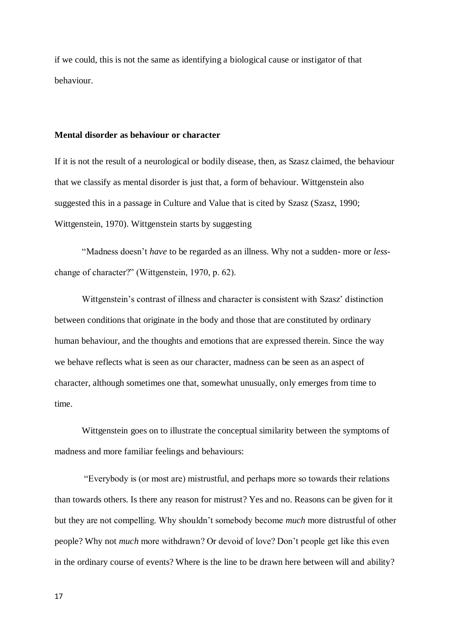if we could, this is not the same as identifying a biological cause or instigator of that behaviour.

## **Mental disorder as behaviour or character**

If it is not the result of a neurological or bodily disease, then, as Szasz claimed, the behaviour that we classify as mental disorder is just that, a form of behaviour. Wittgenstein also suggested this in a passage in Culture and Value that is cited by Szasz (Szasz, 1990; Wittgenstein, 1970). Wittgenstein starts by suggesting

"Madness doesn't *have* to be regarded as an illness. Why not a sudden- more or *less*change of character?" (Wittgenstein, 1970, p. 62).

Wittgenstein's contrast of illness and character is consistent with Szasz' distinction between conditions that originate in the body and those that are constituted by ordinary human behaviour, and the thoughts and emotions that are expressed therein. Since the way we behave reflects what is seen as our character, madness can be seen as an aspect of character, although sometimes one that, somewhat unusually, only emerges from time to time.

Wittgenstein goes on to illustrate the conceptual similarity between the symptoms of madness and more familiar feelings and behaviours:

"Everybody is (or most are) mistrustful, and perhaps more so towards their relations than towards others. Is there any reason for mistrust? Yes and no. Reasons can be given for it but they are not compelling. Why shouldn't somebody become *much* more distrustful of other people? Why not *much* more withdrawn? Or devoid of love? Don't people get like this even in the ordinary course of events? Where is the line to be drawn here between will and ability?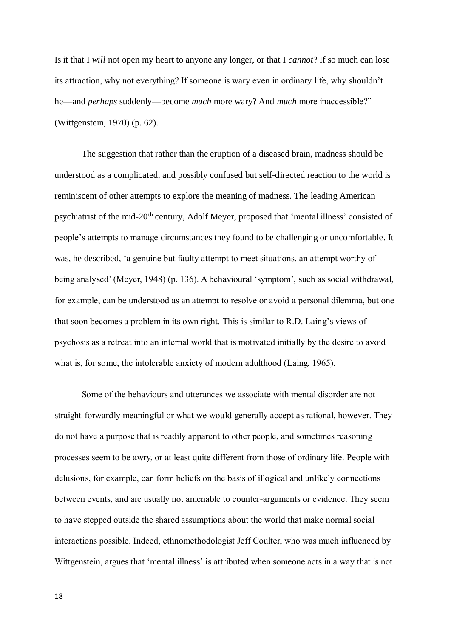Is it that I *will* not open my heart to anyone any longer, or that I *cannot*? If so much can lose its attraction, why not everything? If someone is wary even in ordinary life, why shouldn't he—and *perhaps* suddenly—become *much* more wary? And *much* more inaccessible?" (Wittgenstein, 1970) (p. 62).

The suggestion that rather than the eruption of a diseased brain, madness should be understood as a complicated, and possibly confused but self-directed reaction to the world is reminiscent of other attempts to explore the meaning of madness. The leading American psychiatrist of the mid-20th century, Adolf Meyer, proposed that 'mental illness' consisted of people's attempts to manage circumstances they found to be challenging or uncomfortable. It was, he described, 'a genuine but faulty attempt to meet situations, an attempt worthy of being analysed' (Meyer, 1948) (p. 136). A behavioural 'symptom', such as social withdrawal, for example, can be understood as an attempt to resolve or avoid a personal dilemma, but one that soon becomes a problem in its own right. This is similar to R.D. Laing's views of psychosis as a retreat into an internal world that is motivated initially by the desire to avoid what is, for some, the intolerable anxiety of modern adulthood (Laing, 1965).

Some of the behaviours and utterances we associate with mental disorder are not straight-forwardly meaningful or what we would generally accept as rational, however. They do not have a purpose that is readily apparent to other people, and sometimes reasoning processes seem to be awry, or at least quite different from those of ordinary life. People with delusions, for example, can form beliefs on the basis of illogical and unlikely connections between events, and are usually not amenable to counter-arguments or evidence. They seem to have stepped outside the shared assumptions about the world that make normal social interactions possible. Indeed, ethnomethodologist Jeff Coulter, who was much influenced by Wittgenstein, argues that 'mental illness' is attributed when someone acts in a way that is not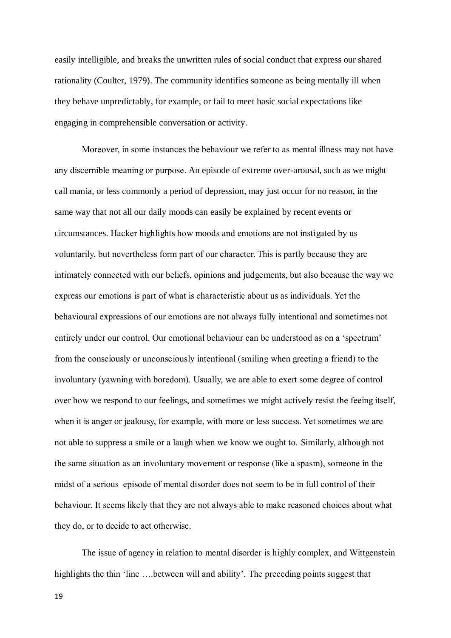easily intelligible, and breaks the unwritten rules of social conduct that express our shared rationality (Coulter, 1979). The community identifies someone as being mentally ill when they behave unpredictably, for example, or fail to meet basic social expectations like engaging in comprehensible conversation or activity.

Moreover, in some instances the behaviour we refer to as mental illness may not have any discernible meaning or purpose. An episode of extreme over-arousal, such as we might call mania, or less commonly a period of depression, may just occur for no reason, in the same way that not all our daily moods can easily be explained by recent events or circumstances. Hacker highlights how moods and emotions are not instigated by us voluntarily, but nevertheless form part of our character. This is partly because they are intimately connected with our beliefs, opinions and judgements, but also because the way we express our emotions is part of what is characteristic about us as individuals. Yet the behavioural expressions of our emotions are not always fully intentional and sometimes not entirely under our control. Our emotional behaviour can be understood as on a 'spectrum' from the consciously or unconsciously intentional (smiling when greeting a friend) to the involuntary (yawning with boredom). Usually, we are able to exert some degree of control over how we respond to our feelings, and sometimes we might actively resist the feeing itself, when it is anger or jealousy, for example, with more or less success. Yet sometimes we are not able to suppress a smile or a laugh when we know we ought to. Similarly, although not the same situation as an involuntary movement or response (like a spasm), someone in the midst of a serious episode of mental disorder does not seem to be in full control of their behaviour. It seems likely that they are not always able to make reasoned choices about what they do, or to decide to act otherwise.

The issue of agency in relation to mental disorder is highly complex, and Wittgenstein highlights the thin 'line ....between will and ability'. The preceding points suggest that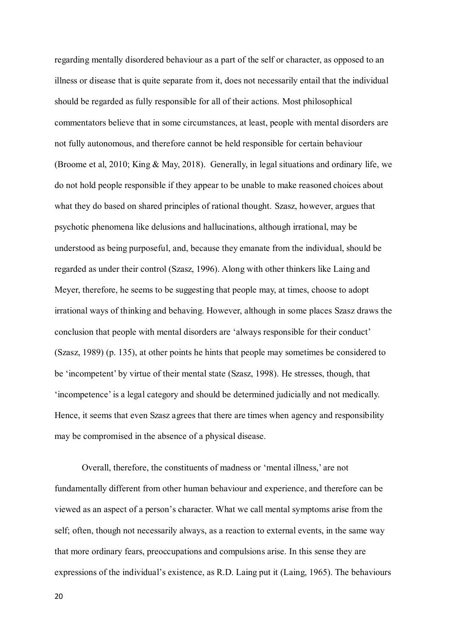regarding mentally disordered behaviour as a part of the self or character, as opposed to an illness or disease that is quite separate from it, does not necessarily entail that the individual should be regarded as fully responsible for all of their actions. Most philosophical commentators believe that in some circumstances, at least, people with mental disorders are not fully autonomous, and therefore cannot be held responsible for certain behaviour (Broome et al, 2010; King & May, 2018). Generally, in legal situations and ordinary life, we do not hold people responsible if they appear to be unable to make reasoned choices about what they do based on shared principles of rational thought. Szasz, however, argues that psychotic phenomena like delusions and hallucinations, although irrational, may be understood as being purposeful, and, because they emanate from the individual, should be regarded as under their control (Szasz, 1996). Along with other thinkers like Laing and Meyer, therefore, he seems to be suggesting that people may, at times, choose to adopt irrational ways of thinking and behaving. However, although in some places Szasz draws the conclusion that people with mental disorders are 'always responsible for their conduct' (Szasz, 1989) (p. 135), at other points he hints that people may sometimes be considered to be 'incompetent' by virtue of their mental state (Szasz, 1998). He stresses, though, that 'incompetence' is a legal category and should be determined judicially and not medically. Hence, it seems that even Szasz agrees that there are times when agency and responsibility may be compromised in the absence of a physical disease.

Overall, therefore, the constituents of madness or 'mental illness,' are not fundamentally different from other human behaviour and experience, and therefore can be viewed as an aspect of a person's character. What we call mental symptoms arise from the self; often, though not necessarily always, as a reaction to external events, in the same way that more ordinary fears, preoccupations and compulsions arise. In this sense they are expressions of the individual's existence, as R.D. Laing put it (Laing, 1965). The behaviours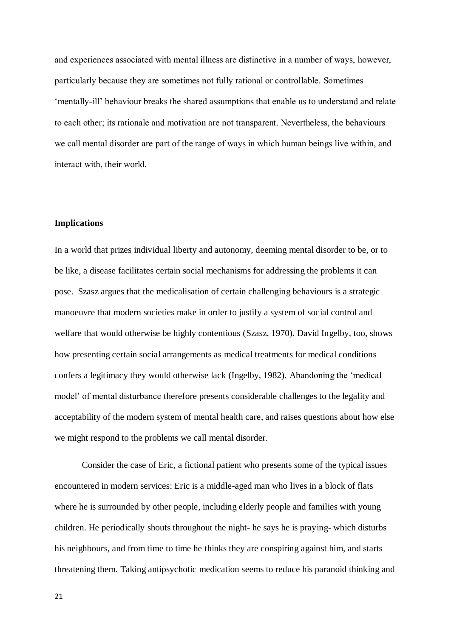and experiences associated with mental illness are distinctive in a number of ways, however, particularly because they are sometimes not fully rational or controllable. Sometimes 'mentally-ill' behaviour breaks the shared assumptions that enable us to understand and relate to each other; its rationale and motivation are not transparent. Nevertheless, the behaviours we call mental disorder are part of the range of ways in which human beings live within, and interact with, their world.

## **Implications**

In a world that prizes individual liberty and autonomy, deeming mental disorder to be, or to be like, a disease facilitates certain social mechanisms for addressing the problems it can pose. Szasz argues that the medicalisation of certain challenging behaviours is a strategic manoeuvre that modern societies make in order to justify a system of social control and welfare that would otherwise be highly contentious (Szasz, 1970). David Ingelby, too, shows how presenting certain social arrangements as medical treatments for medical conditions confers a legitimacy they would otherwise lack (Ingelby, 1982). Abandoning the 'medical model' of mental disturbance therefore presents considerable challenges to the legality and acceptability of the modern system of mental health care, and raises questions about how else we might respond to the problems we call mental disorder.

Consider the case of Eric, a fictional patient who presents some of the typical issues encountered in modern services: Eric is a middle-aged man who lives in a block of flats where he is surrounded by other people, including elderly people and families with young children. He periodically shouts throughout the night- he says he is praying- which disturbs his neighbours, and from time to time he thinks they are conspiring against him, and starts threatening them. Taking antipsychotic medication seems to reduce his paranoid thinking and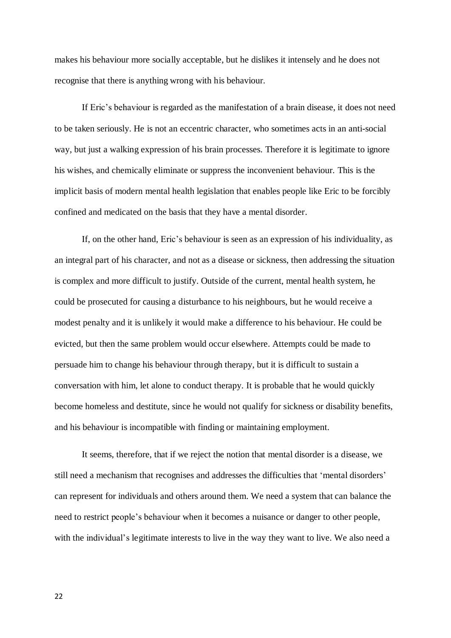makes his behaviour more socially acceptable, but he dislikes it intensely and he does not recognise that there is anything wrong with his behaviour.

If Eric's behaviour is regarded as the manifestation of a brain disease, it does not need to be taken seriously. He is not an eccentric character, who sometimes acts in an anti-social way, but just a walking expression of his brain processes. Therefore it is legitimate to ignore his wishes, and chemically eliminate or suppress the inconvenient behaviour. This is the implicit basis of modern mental health legislation that enables people like Eric to be forcibly confined and medicated on the basis that they have a mental disorder.

If, on the other hand, Eric's behaviour is seen as an expression of his individuality, as an integral part of his character, and not as a disease or sickness, then addressing the situation is complex and more difficult to justify. Outside of the current, mental health system, he could be prosecuted for causing a disturbance to his neighbours, but he would receive a modest penalty and it is unlikely it would make a difference to his behaviour. He could be evicted, but then the same problem would occur elsewhere. Attempts could be made to persuade him to change his behaviour through therapy, but it is difficult to sustain a conversation with him, let alone to conduct therapy. It is probable that he would quickly become homeless and destitute, since he would not qualify for sickness or disability benefits, and his behaviour is incompatible with finding or maintaining employment.

It seems, therefore, that if we reject the notion that mental disorder is a disease, we still need a mechanism that recognises and addresses the difficulties that 'mental disorders' can represent for individuals and others around them. We need a system that can balance the need to restrict people's behaviour when it becomes a nuisance or danger to other people, with the individual's legitimate interests to live in the way they want to live. We also need a

 $22$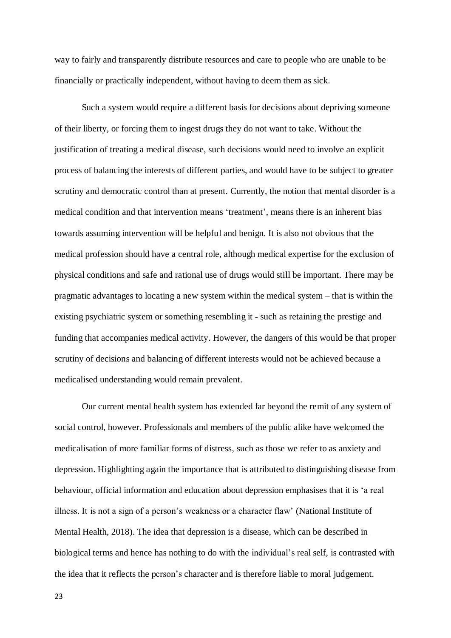way to fairly and transparently distribute resources and care to people who are unable to be financially or practically independent, without having to deem them as sick.

Such a system would require a different basis for decisions about depriving someone of their liberty, or forcing them to ingest drugs they do not want to take. Without the justification of treating a medical disease, such decisions would need to involve an explicit process of balancing the interests of different parties, and would have to be subject to greater scrutiny and democratic control than at present. Currently, the notion that mental disorder is a medical condition and that intervention means 'treatment', means there is an inherent bias towards assuming intervention will be helpful and benign. It is also not obvious that the medical profession should have a central role, although medical expertise for the exclusion of physical conditions and safe and rational use of drugs would still be important. There may be pragmatic advantages to locating a new system within the medical system – that is within the existing psychiatric system or something resembling it - such as retaining the prestige and funding that accompanies medical activity. However, the dangers of this would be that proper scrutiny of decisions and balancing of different interests would not be achieved because a medicalised understanding would remain prevalent.

Our current mental health system has extended far beyond the remit of any system of social control, however. Professionals and members of the public alike have welcomed the medicalisation of more familiar forms of distress, such as those we refer to as anxiety and depression. Highlighting again the importance that is attributed to distinguishing disease from behaviour, official information and education about depression emphasises that it is 'a real illness. It is not a sign of a person's weakness or a character flaw' (National Institute of Mental Health, 2018). The idea that depression is a disease, which can be described in biological terms and hence has nothing to do with the individual's real self, is contrasted with the idea that it reflects the person's character and is therefore liable to moral judgement.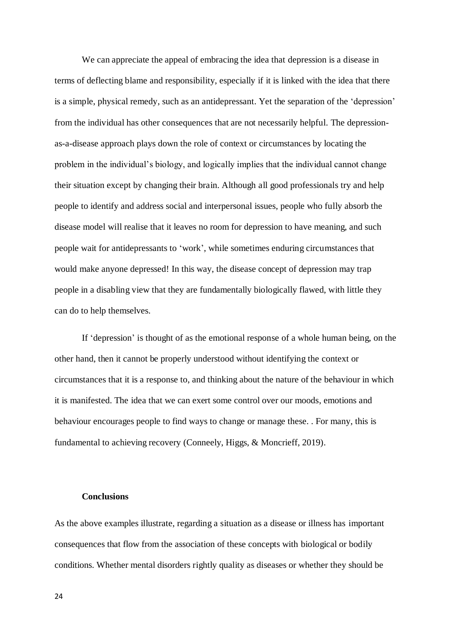We can appreciate the appeal of embracing the idea that depression is a disease in terms of deflecting blame and responsibility, especially if it is linked with the idea that there is a simple, physical remedy, such as an antidepressant. Yet the separation of the 'depression' from the individual has other consequences that are not necessarily helpful. The depressionas-a-disease approach plays down the role of context or circumstances by locating the problem in the individual's biology, and logically implies that the individual cannot change their situation except by changing their brain. Although all good professionals try and help people to identify and address social and interpersonal issues, people who fully absorb the disease model will realise that it leaves no room for depression to have meaning, and such people wait for antidepressants to 'work', while sometimes enduring circumstances that would make anyone depressed! In this way, the disease concept of depression may trap people in a disabling view that they are fundamentally biologically flawed, with little they can do to help themselves.

If 'depression' is thought of as the emotional response of a whole human being, on the other hand, then it cannot be properly understood without identifying the context or circumstances that it is a response to, and thinking about the nature of the behaviour in which it is manifested. The idea that we can exert some control over our moods, emotions and behaviour encourages people to find ways to change or manage these. . For many, this is fundamental to achieving recovery (Conneely, Higgs, & Moncrieff, 2019).

## **Conclusions**

As the above examples illustrate, regarding a situation as a disease or illness has important consequences that flow from the association of these concepts with biological or bodily conditions. Whether mental disorders rightly quality as diseases or whether they should be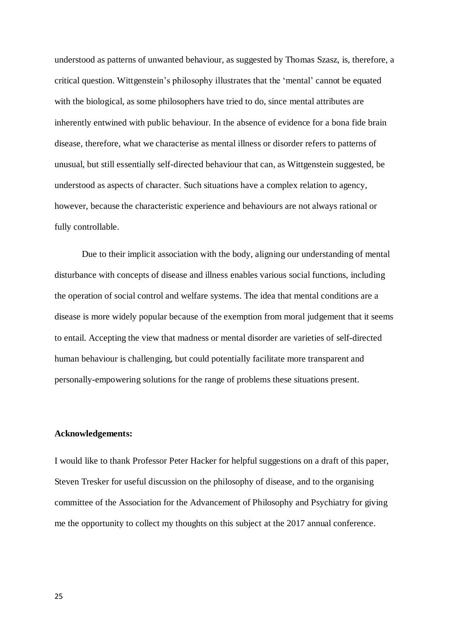understood as patterns of unwanted behaviour, as suggested by Thomas Szasz, is, therefore, a critical question. Wittgenstein's philosophy illustrates that the 'mental' cannot be equated with the biological, as some philosophers have tried to do, since mental attributes are inherently entwined with public behaviour. In the absence of evidence for a bona fide brain disease, therefore, what we characterise as mental illness or disorder refers to patterns of unusual, but still essentially self-directed behaviour that can, as Wittgenstein suggested, be understood as aspects of character. Such situations have a complex relation to agency, however, because the characteristic experience and behaviours are not always rational or fully controllable.

Due to their implicit association with the body, aligning our understanding of mental disturbance with concepts of disease and illness enables various social functions, including the operation of social control and welfare systems. The idea that mental conditions are a disease is more widely popular because of the exemption from moral judgement that it seems to entail. Accepting the view that madness or mental disorder are varieties of self-directed human behaviour is challenging, but could potentially facilitate more transparent and personally-empowering solutions for the range of problems these situations present.

## **Acknowledgements:**

I would like to thank Professor Peter Hacker for helpful suggestions on a draft of this paper, Steven Tresker for useful discussion on the philosophy of disease, and to the organising committee of the Association for the Advancement of Philosophy and Psychiatry for giving me the opportunity to collect my thoughts on this subject at the 2017 annual conference.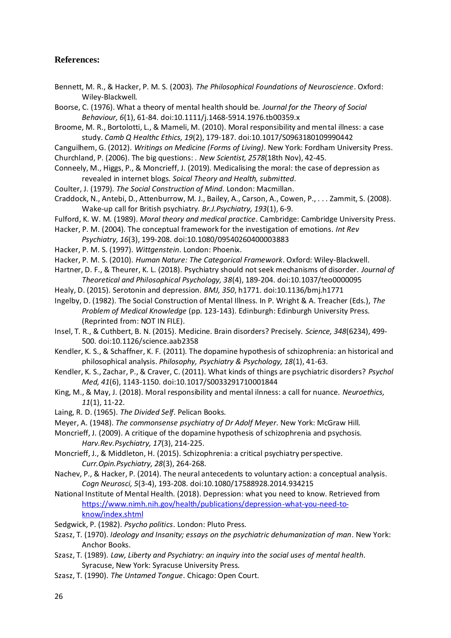# **References:**

- Bennett, M. R., & Hacker, P. M. S. (2003). *The Philosophical Foundations of Neuroscience*. Oxford: Wiley-Blackwell.
- Boorse, C. (1976). What a theory of mental health should be. *Journal for the Theory of Social Behaviour, 6*(1), 61-84. doi:10.1111/j.1468-5914.1976.tb00359.x
- Broome, M. R., Bortolotti, L., & Mameli, M. (2010). Moral responsibility and mental illness: a case study. *Camb Q Healthc Ethics, 19*(2), 179-187. doi:10.1017/S0963180109990442
- Canguilhem, G. (2012). *Writings on Medicine (Forms of Living)*. New York: Fordham University Press.
- Churchland, P. (2006). The big questions: . *New Scientist, 2578*(18th Nov), 42-45.
- Conneely, M., Higgs, P., & Moncrieff, J. (2019). Medicalising the moral: the case of depression as revealed in internet blogs. *Soical Theory and Health, submitted*.
- Coulter, J. (1979). *The Social Construction of Mind*. London: Macmillan.
- Craddock, N., Antebi, D., Attenburrow, M. J., Bailey, A., Carson, A., Cowen, P., . . . Zammit, S. (2008). Wake-up call for British psychiatry. *Br.J.Psychiatry, 193*(1), 6-9.
- Fulford, K. W. M. (1989). *Moral theory and medical practice*. Cambridge: Cambridge University Press.
- Hacker, P. M. (2004). The conceptual framework for the investigation of emotions. *Int Rev Psychiatry, 16*(3), 199-208. doi:10.1080/09540260400003883
- Hacker, P. M. S. (1997). *Wittgenstein*. London: Phoenix.
- Hacker, P. M. S. (2010). *Human Nature: The Categorical Framework*. Oxford: Wiley-Blackwell.
- Hartner, D. F., & Theurer, K. L. (2018). Psychiatry should not seek mechanisms of disorder. *Journal of Theoretical and Philosophical Psychology, 38*(4), 189-204. doi:10.1037/teo0000095
- Healy, D. (2015). Serotonin and depression. *BMJ, 350*, h1771. doi:10.1136/bmj.h1771
- Ingelby, D. (1982). The Social Construction of Mental Illness. In P. Wright & A. Treacher (Eds.), *The Problem of Medical Knowledge* (pp. 123-143). Edinburgh: Edinburgh University Press. (Reprinted from: NOT IN FILE).
- Insel, T. R., & Cuthbert, B. N. (2015). Medicine. Brain disorders? Precisely. *Science, 348*(6234), 499- 500. doi:10.1126/science.aab2358
- Kendler, K. S., & Schaffner, K. F. (2011). The dopamine hypothesis of schizophrenia: an historical and philosophical analysis. *Philosophy, Psychiatry & Psychology, 18*(1), 41-63.
- Kendler, K. S., Zachar, P., & Craver, C. (2011). What kinds of things are psychiatric disorders? *Psychol Med, 41*(6), 1143-1150. doi:10.1017/S0033291710001844
- King, M., & May, J. (2018). Moral responsibility and mental ilnness: a call for nuance. *Neuroethics, 11*(1), 11-22.
- Laing, R. D. (1965). *The Divided Self*. Pelican Books.
- Meyer, A. (1948). *The commonsense psychiatry of Dr Adolf Meyer*. New York: McGraw Hill.
- Moncrieff, J. (2009). A critique of the dopamine hypothesis of schizophrenia and psychosis. *Harv.Rev.Psychiatry, 17*(3), 214-225.
- Moncrieff, J., & Middleton, H. (2015). Schizophrenia: a critical psychiatry perspective. *Curr.Opin.Psychiatry, 28*(3), 264-268.
- Nachev, P., & Hacker, P. (2014). The neural antecedents to voluntary action: a conceptual analysis. *Cogn Neurosci, 5*(3-4), 193-208. doi:10.1080/17588928.2014.934215
- National Institute of Mental Health. (2018). Depression: what you need to know. Retrieved from [https://www.nimh.nih.gov/health/publications/depression-what-you-need-to](https://www.nimh.nih.gov/health/publications/depression-what-you-need-to-know/index.shtml)[know/index.shtml](https://www.nimh.nih.gov/health/publications/depression-what-you-need-to-know/index.shtml)
- Sedgwick, P. (1982). *Psycho politics*. London: Pluto Press.
- Szasz, T. (1970). *Ideology and Insanity; essays on the psychiatric dehumanization of man*. New York: Anchor Books.
- Szasz, T. (1989). *Law, Liberty and Psychiatry: an inquiry into the social uses of mental health*. Syracuse, New York: Syracuse University Press.
- Szasz, T. (1990). *The Untamed Tongue*. Chicago: Open Court.